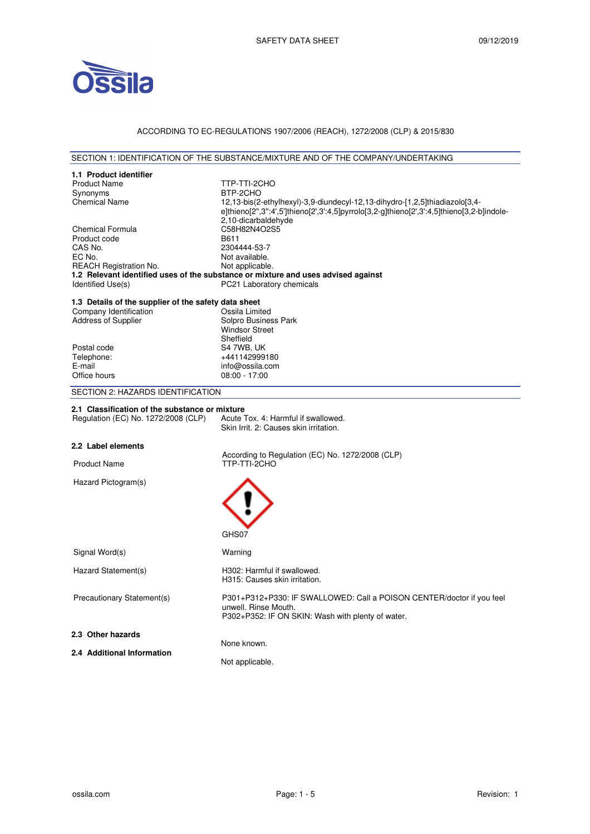

# ACCORDING TO EC-REGULATIONS 1907/2006 (REACH), 1272/2008 (CLP) & 2015/830

## SECTION 1: IDENTIFICATION OF THE SUBSTANCE/MIXTURE AND OF THE COMPANY/UNDERTAKING

| 1.1 Product identifier                               |                                                                                           |
|------------------------------------------------------|-------------------------------------------------------------------------------------------|
| <b>Product Name</b>                                  | TTP-TTI-2CHO                                                                              |
| Synonyms                                             | BTP-2CHO                                                                                  |
| <b>Chemical Name</b>                                 | 12,13-bis(2-ethylhexyl)-3,9-diundecyl-12,13-dihydro-[1,2,5]thiadiazolo[3,4-               |
|                                                      | e]thieno[2",3":4',5']thieno[2',3':4,5]pyrrolo[3,2-g]thieno[2',3':4,5]thieno[3,2-b]indole- |
|                                                      | 2,10-dicarbaldehyde                                                                       |
| Chemical Formula                                     | C58H82N4O2S5                                                                              |
| Product code                                         | B611                                                                                      |
| CAS No.                                              | 2304444-53-7                                                                              |
| EC No.                                               | Not available.                                                                            |
| <b>REACH Registration No.</b>                        | Not applicable.                                                                           |
|                                                      | 1.2 Relevant identified uses of the substance or mixture and uses advised against         |
| Identified Use(s)                                    | PC21 Laboratory chemicals                                                                 |
|                                                      |                                                                                           |
| 1.3 Details of the supplier of the safety data sheet |                                                                                           |
| Company Identification                               | Ossila Limited                                                                            |
| <b>Address of Supplier</b>                           | Solpro Business Park                                                                      |
|                                                      | <b>Windsor Street</b>                                                                     |
|                                                      | Sheffield                                                                                 |
| Postal code                                          | S4 7WB, UK                                                                                |
| Telephone:                                           | +441142999180                                                                             |
| E-mail                                               | info@ossila.com                                                                           |
| Office hours                                         | $08:00 - 17:00$                                                                           |
| SECTION 2: HAZARDS IDENTIFICATION                    |                                                                                           |
|                                                      |                                                                                           |
| 2.1 Classification of the substance or mixture       |                                                                                           |
| Regulation (EC) No. 1272/2008 (CLP)                  | Acute Tox, 4: Harmful if swallowed.<br>Skin Irrit, 2: Causes skin irritation.             |
|                                                      |                                                                                           |
| 2.2 Label elements                                   |                                                                                           |
|                                                      | According to Regulation (EC) No. 1272/2008 (CLP)                                          |
| <b>Product Name</b>                                  | TTP-TTI-2CHO                                                                              |
|                                                      |                                                                                           |
| Hazard Pictogram(s)                                  |                                                                                           |
|                                                      |                                                                                           |
|                                                      |                                                                                           |
|                                                      |                                                                                           |
|                                                      |                                                                                           |
|                                                      | GHS07                                                                                     |
|                                                      |                                                                                           |
| Signal Word(s)                                       | Warning                                                                                   |
|                                                      |                                                                                           |
| Hazard Statement(s)                                  | H302: Harmful if swallowed.                                                               |
|                                                      | H315: Causes skin irritation.                                                             |
|                                                      |                                                                                           |
| Precautionary Statement(s)                           | P301+P312+P330: IF SWALLOWED: Call a POISON CENTER/doctor if you feel                     |
|                                                      | unwell. Rinse Mouth.<br>P302+P352: IF ON SKIN: Wash with plenty of water.                 |
|                                                      |                                                                                           |
| 2.3 Other hazards                                    |                                                                                           |
|                                                      |                                                                                           |
|                                                      | None known.                                                                               |
| 2.4 Additional Information                           |                                                                                           |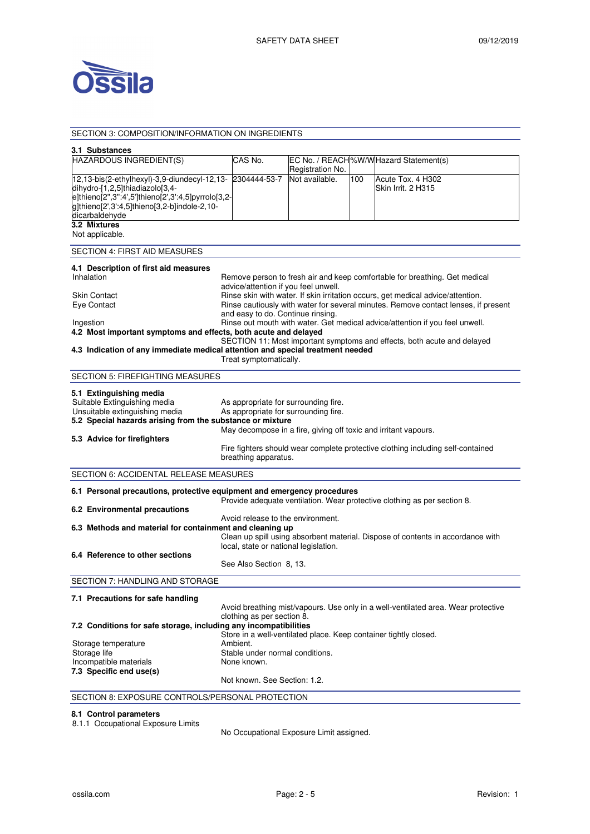

SECTION 3: COMPOSITION/INFORMATION ON INGREDIENTS

### **3.1 Substances**  HAZARDOUS INGREDIENT(S) CAS No. Registration No. EC No. / REACH %W/W Hazard Statement(s) 12,13-bis(2-ethylhexyl)-3,9-diundecyl-12,13 dihydro-[1,2,5]thiadiazolo[3,4 e]thieno[2'',3'':4',5']thieno[2',3':4,5]pyrrolo[3,2 g]thieno[2',3':4,5]thieno[3,2-b]indole-2,10 dicarbaldehyde 2304444-53-7 Not available. 100 Acute Tox. 4 H302 Skin Irrit. 2 H315 **3.2 Mixtures**  Not applicable. SECTION 4: FIRST AID MEASURES **4.1 Description of first aid measures**  Remove person to fresh air and keep comfortable for breathing. Get medical advice/attention if you feel unwell. Skin Contact **Rinse skin with water. If skin irritation occurs**, get medical advice/attention. Eye Contact Rinse cautiously with water for several minutes. Remove contact lenses, if present and easy to do. Continue rinsing. Ingestion **Rinse out mouth with water. Get medical advice/attention if you feel unwell. 4.2 Most important symptoms and effects, both acute and delayed**  SECTION 11: Most important symptoms and effects, both acute and delayed **4.3 Indication of any immediate medical attention and special treatment needed**  Treat symptomatically. SECTION 5: FIREFIGHTING MEASURES **5.1 Extinguishing media**  Suitable Extinguishing media As appropriate for surrounding fire.<br>
Unsuitable extinguishing media As appropriate for surrounding fire. As appropriate for surrounding fire. **5.2 Special hazards arising from the substance or mixture**  May decompose in a fire, giving off toxic and irritant vapours. **5.3 Advice for firefighters**  Fire fighters should wear complete protective clothing including self-contained breathing apparatus. SECTION 6: ACCIDENTAL RELEASE MEASURES **6.1 Personal precautions, protective equipment and emergency procedures**  Provide adequate ventilation. Wear protective clothing as per section 8. **6.2 Environmental precautions**  Avoid release to the environment. **6.3 Methods and material for containment and cleaning up**  Clean up spill using absorbent material. Dispose of contents in accordance with local, state or national legislation. **6.4 Reference to other sections**  See Also Section 8, 13. SECTION 7: HANDLING AND STORAGE **7.1 Precautions for safe handling**  Avoid breathing mist/vapours. Use only in a well-ventilated area. Wear protective clothing as per section 8. **7.2 Conditions for safe storage, including any incompatibilities**  Store in a well-ventilated place. Keep container tightly closed. Storage temperature **Ambient.** Storage life Stable under normal conditions.<br>
Incompatible materials<br>
None known. Incompatible materials **7.3 Specific end use(s)**  Not known. See Section: 1.2. SECTION 8: EXPOSURE CONTROLS/PERSONAL PROTECTION

### **8.1 Control parameters**

8.1.1 Occupational Exposure Limits

No Occupational Exposure Limit assigned.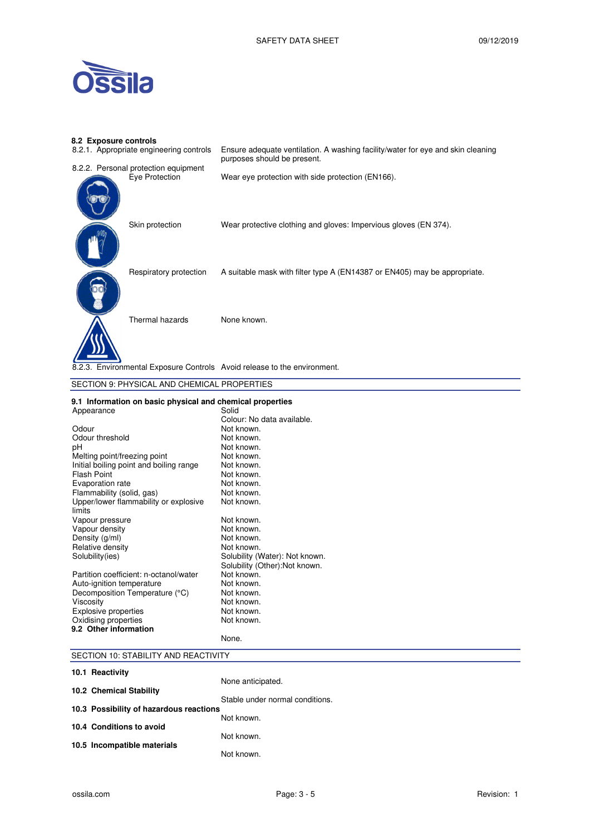

# **8.2 Exposure controls**

| 8.2.1. Appropriate engineering controls                                  | Ensure adequate ventilation. A washing facility/water for eye and skin cleaning<br>purposes should be present. |
|--------------------------------------------------------------------------|----------------------------------------------------------------------------------------------------------------|
| 8.2.2. Personal protection equipment                                     |                                                                                                                |
| Eye Protection                                                           | Wear eye protection with side protection (EN166).                                                              |
| Skin protection                                                          | Wear protective clothing and gloves: Impervious gloves (EN 374).                                               |
| Respiratory protection                                                   | A suitable mask with filter type A (EN14387 or EN405) may be appropriate.                                      |
| Thermal hazards                                                          | None known.                                                                                                    |
| 8.2.3. Environmental Exposure Controls Avoid release to the environment. |                                                                                                                |
| SECTION 9: PHYSICAL AND CHEMICAL PROPERTIES                              |                                                                                                                |
| 9.1 Information on basic physical and chemical properties<br>Annearance  | Solid                                                                                                          |

|                                         | Colour: No data available.     |
|-----------------------------------------|--------------------------------|
| Odour                                   | Not known.                     |
| Odour threshold                         | Not known.                     |
| рH                                      | Not known.                     |
| Melting point/freezing point            | Not known.                     |
| Initial boiling point and boiling range | Not known.                     |
| Flash Point                             | Not known.                     |
| Evaporation rate                        | Not known.                     |
| Flammability (solid, gas)               | Not known.                     |
| Upper/lower flammability or explosive   | Not known.                     |
| limits                                  |                                |
| Vapour pressure                         | Not known.                     |
| Vapour density                          | Not known.                     |
| Density (g/ml)                          | Not known.                     |
| Relative density                        | Not known.                     |
| Solubility(ies)                         | Solubility (Water): Not known. |
|                                         | Solubility (Other):Not known.  |
| Partition coefficient: n-octanol/water  | Not known.                     |
| Auto-ignition temperature               | Not known.                     |
| Decomposition Temperature (°C)          | Not known.                     |
| Viscosity                               | Not known.                     |
| <b>Explosive properties</b>             | Not known.                     |
| Oxidising properties                    | Not known.                     |
| 9.2 Other information                   |                                |
|                                         | None.                          |

# SECTION 10: STABILITY AND REACTIVITY

| 10.1 Reactivity                         |                                 |
|-----------------------------------------|---------------------------------|
|                                         | None anticipated.               |
| 10.2 Chemical Stability                 |                                 |
| 10.3 Possibility of hazardous reactions | Stable under normal conditions. |
|                                         | Not known.                      |
| 10.4 Conditions to avoid                |                                 |
| 10.5 Incompatible materials             | Not known.                      |
|                                         | Not known.                      |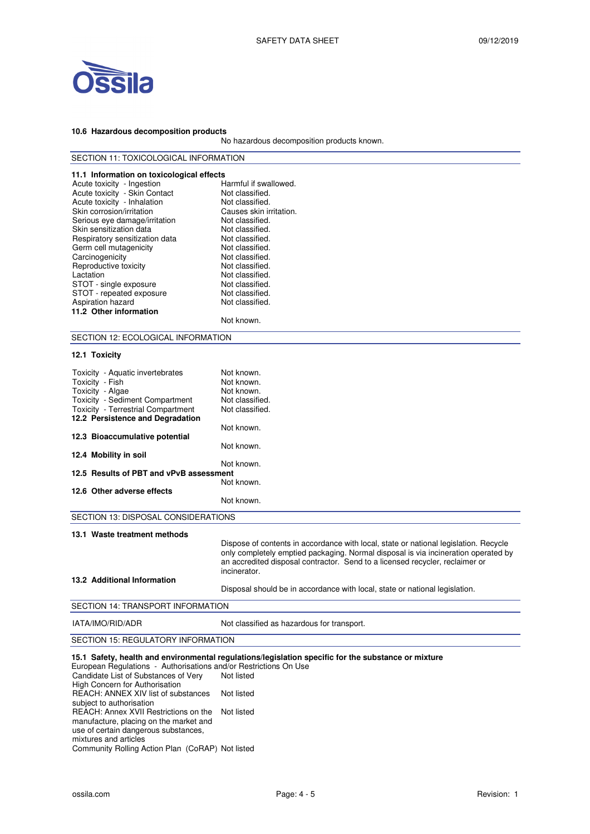

#### **10.6 Hazardous decomposition products**

No hazardous decomposition products known.

| 11.1 Information on toxicological effects |                         |
|-------------------------------------------|-------------------------|
| Acute toxicity - Ingestion                | Harmful if swallowed.   |
| Acute toxicity - Skin Contact             | Not classified.         |
| Acute toxicity - Inhalation               | Not classified.         |
| Skin corrosion/irritation                 | Causes skin irritation. |
| Serious eye damage/irritation             | Not classified.         |
| Skin sensitization data                   | Not classified.         |
| Respiratory sensitization data            | Not classified.         |
| Germ cell mutagenicity                    | Not classified.         |
| Carcinogenicity                           | Not classified.         |
| Reproductive toxicity                     | Not classified.         |
| Lactation                                 | Not classified.         |
| STOT - single exposure                    | Not classified.         |
| STOT - repeated exposure                  | Not classified.         |
| Aspiration hazard                         | Not classified.         |
| 11.2 Other information                    |                         |
|                                           | Not known.              |

# SECTION 12: ECOLOGICAL INFORMATION

#### **12.1 Toxicity**

| Toxicity - Aquatic invertebrates<br>Toxicity - Fish<br>Toxicity - Algae<br><b>Toxicity - Sediment Compartment</b><br><b>Toxicity</b> - Terrestrial Compartment | Not known.<br>Not known.<br>Not known.<br>Not classified.<br>Not classified. |  |  |
|----------------------------------------------------------------------------------------------------------------------------------------------------------------|------------------------------------------------------------------------------|--|--|
| 12.2 Persistence and Degradation                                                                                                                               |                                                                              |  |  |
|                                                                                                                                                                | Not known.                                                                   |  |  |
| 12.3 Bioaccumulative potential                                                                                                                                 |                                                                              |  |  |
|                                                                                                                                                                | Not known.                                                                   |  |  |
| 12.4 Mobility in soil                                                                                                                                          |                                                                              |  |  |
|                                                                                                                                                                | Not known.                                                                   |  |  |
| 12.5 Results of PBT and vPvB assessment                                                                                                                        |                                                                              |  |  |
|                                                                                                                                                                | Not known.                                                                   |  |  |
| 12.6 Other adverse effects                                                                                                                                     |                                                                              |  |  |
|                                                                                                                                                                | Not known.                                                                   |  |  |
| SECTION 13: DISPOSAL CONSIDERATIONS                                                                                                                            |                                                                              |  |  |

| 13.1 Waste treatment methods<br>13.2 Additional Information | Dispose of contents in accordance with local, state or national legislation. Recycle<br>only completely emptied packaging. Normal disposal is via incineration operated by<br>an accredited disposal contractor. Send to a licensed recycler, reclaimer or<br>incinerator. |
|-------------------------------------------------------------|----------------------------------------------------------------------------------------------------------------------------------------------------------------------------------------------------------------------------------------------------------------------------|
|                                                             | Disposal should be in accordance with local, state or national legislation.                                                                                                                                                                                                |
| SECTION 14: TRANSPORT INFORMATION                           |                                                                                                                                                                                                                                                                            |

IATA/IMO/RID/ADR Not classified as hazardous for transport.

## SECTION 15: REGULATORY INFORMATION

## **15.1 Safety, health and environmental regulations/legislation specific for the substance or mixture**

European Regulations - Authorisations and/or Restrictions On Use Candidate List of Substances of Very High Concern for Authorisation Not listed REACH: ANNEX XIV list of substances subject to authorisation Not listed REACH: Annex XVII Restrictions on the manufacture, placing on the market and Not listed

use of certain dangerous substances,

mixtures and articles Community Rolling Action Plan (CoRAP) Not listed